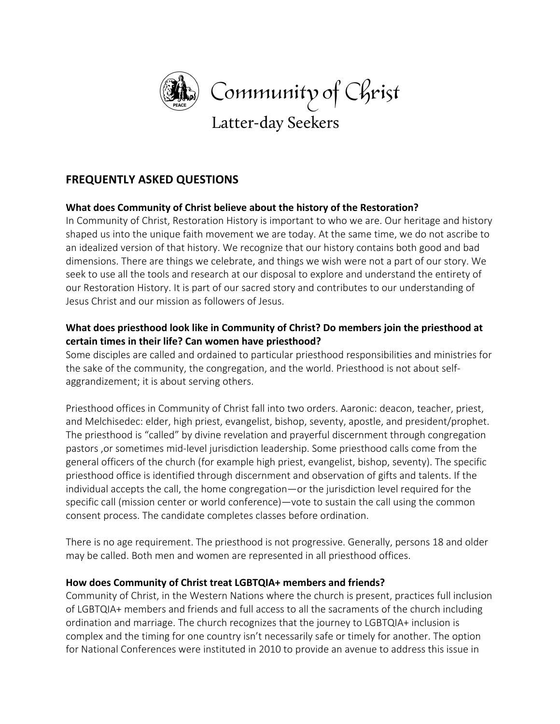

# **FREQUENTLY ASKED QUESTIONS**

## **What does Community of Christ believe about the history of the Restoration?**

In Community of Christ, Restoration History is important to who we are. Our heritage and history shaped us into the unique faith movement we are today. At the same time, we do not ascribe to an idealized version of that history. We recognize that our history contains both good and bad dimensions. There are things we celebrate, and things we wish were not a part of our story. We seek to use all the tools and research at our disposal to explore and understand the entirety of our Restoration History. It is part of our sacred story and contributes to our understanding of Jesus Christ and our mission as followers of Jesus.

## **What does priesthood look like in Community of Christ? Do members join the priesthood at certain times in their life? Can women have priesthood?**

Some disciples are called and ordained to particular priesthood responsibilities and ministries for the sake of the community, the congregation, and the world. Priesthood is not about selfaggrandizement; it is about serving others.

Priesthood offices in Community of Christ fall into two orders. Aaronic: deacon, teacher, priest, and Melchisedec: elder, high priest, evangelist, bishop, seventy, apostle, and president/prophet. The priesthood is "called" by divine revelation and prayerful discernment through congregation pastors ,or sometimes mid-level jurisdiction leadership. Some priesthood calls come from the general officers of the church (for example high priest, evangelist, bishop, seventy). The specific priesthood office is identified through discernment and observation of gifts and talents. If the individual accepts the call, the home congregation—or the jurisdiction level required for the specific call (mission center or world conference)—vote to sustain the call using the common consent process. The candidate completes classes before ordination.

There is no age requirement. The priesthood is not progressive. Generally, persons 18 and older may be called. Both men and women are represented in all priesthood offices.

## **How does Community of Christ treat LGBTQIA+ members and friends?**

Community of Christ, in the Western Nations where the church is present, practices full inclusion of LGBTQIA+ members and friends and full access to all the sacraments of the church including ordination and marriage. The church recognizes that the journey to LGBTQIA+ inclusion is complex and the timing for one country isn't necessarily safe or timely for another. The option for National Conferences were instituted in 2010 to provide an avenue to address this issue in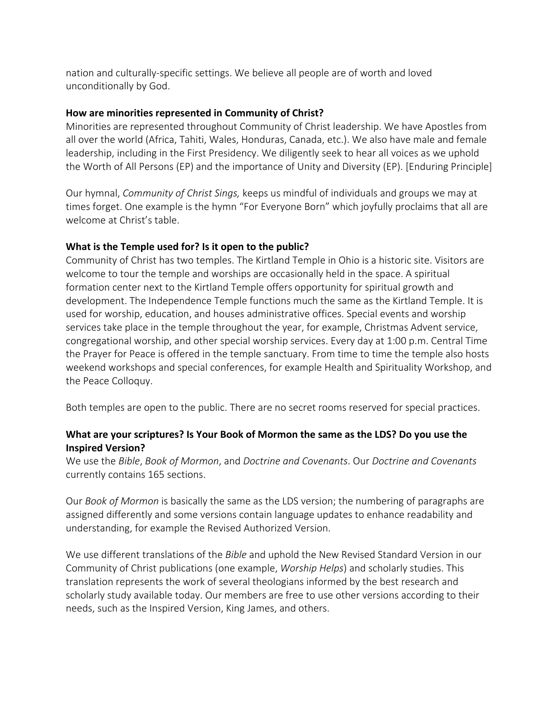nation and culturally-specific settings. We believe all people are of worth and loved unconditionally by God.

#### **How are minorities represented in Community of Christ?**

Minorities are represented throughout Community of Christ leadership. We have Apostles from all over the world (Africa, Tahiti, Wales, Honduras, Canada, etc.). We also have male and female leadership, including in the First Presidency. We diligently seek to hear all voices as we uphold the Worth of All Persons (EP) and the importance of Unity and Diversity (EP). [Enduring Principle]

Our hymnal, *Community of Christ Sings,* keeps us mindful of individuals and groups we may at times forget. One example is the hymn "For Everyone Born" which joyfully proclaims that all are welcome at Christ's table.

#### **What is the Temple used for? Is it open to the public?**

Community of Christ has two temples. The Kirtland Temple in Ohio is a historic site. Visitors are welcome to tour the temple and worships are occasionally held in the space. A spiritual formation center next to the Kirtland Temple offers opportunity for spiritual growth and development. The Independence Temple functions much the same as the Kirtland Temple. It is used for worship, education, and houses administrative offices. Special events and worship services take place in the temple throughout the year, for example, Christmas Advent service, congregational worship, and other special worship services. Every day at 1:00 p.m. Central Time the Prayer for Peace is offered in the temple sanctuary. From time to time the temple also hosts weekend workshops and special conferences, for example Health and Spirituality Workshop, and the Peace Colloquy.

Both temples are open to the public. There are no secret rooms reserved for special practices.

## **What are your scriptures? Is Your Book of Mormon the same as the LDS? Do you use the Inspired Version?**

We use the *Bible*, *Book of Mormon*, and *Doctrine and Covenants*. Our *Doctrine and Covenants* currently contains 165 sections.

Our *Book of Mormon* is basically the same as the LDS version; the numbering of paragraphs are assigned differently and some versions contain language updates to enhance readability and understanding, for example the Revised Authorized Version.

We use different translations of the *Bible* and uphold the New Revised Standard Version in our Community of Christ publications (one example, *Worship Helps*) and scholarly studies. This translation represents the work of several theologians informed by the best research and scholarly study available today. Our members are free to use other versions according to their needs, such as the Inspired Version, King James, and others.